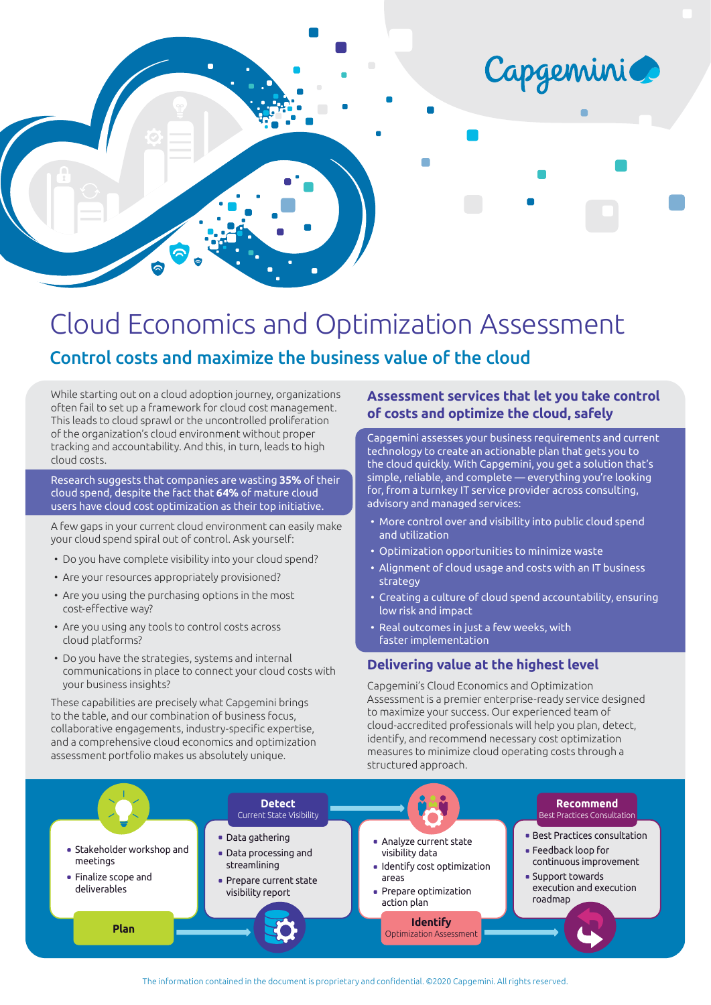

# Cloud Economics and Optimization Assessment

## Control costs and maximize the business value of the cloud

While starting out on a cloud adoption journey, organizations often fail to set up a framework for cloud cost management. This leads to cloud sprawl or the uncontrolled proliferation of the organization's cloud environment without proper tracking and accountability. And this, in turn, leads to high cloud costs.

Research suggests that companies are wasting **35%** of their cloud spend, despite the fact that **64%** of mature cloud users have cloud cost optimization as their top initiative.

A few gaps in your current cloud environment can easily make your cloud spend spiral out of control. Ask yourself:

- Do you have complete visibility into your cloud spend?
- Are your resources appropriately provisioned?
- Are you using the purchasing options in the most cost-effective way?
- Are you using any tools to control costs across cloud platforms?
- Do you have the strategies, systems and internal communications in place to connect your cloud costs with your business insights?

These capabilities are precisely what Capgemini brings to the table, and our combination of business focus, collaborative engagements, industry-specific expertise, and a comprehensive cloud economics and optimization assessment portfolio makes us absolutely unique.

#### **Assessment services that let you take control of costs and optimize the cloud, safely**

Capgemini assesses your business requirements and current technology to create an actionable plan that gets you to the cloud quickly. With Capgemini, you get a solution that's simple, reliable, and complete — everything you're looking for, from a turnkey IT service provider across consulting, advisory and managed services:

- More control over and visibility into public cloud spend and utilization
- Optimization opportunities to minimize waste
- Alignment of cloud usage and costs with an IT business strategy
- Creating a culture of cloud spend accountability, ensuring low risk and impact
- Real outcomes in just a few weeks, with faster implementation

#### **Delivering value at the highest level**

Capgemini's Cloud Economics and Optimization Assessment is a premier enterprise-ready service designed to maximize your success. Our experienced team of cloud-accredited professionals will help you plan, detect, identify, and recommend necessary cost optimization measures to minimize cloud operating costs through a structured approach.